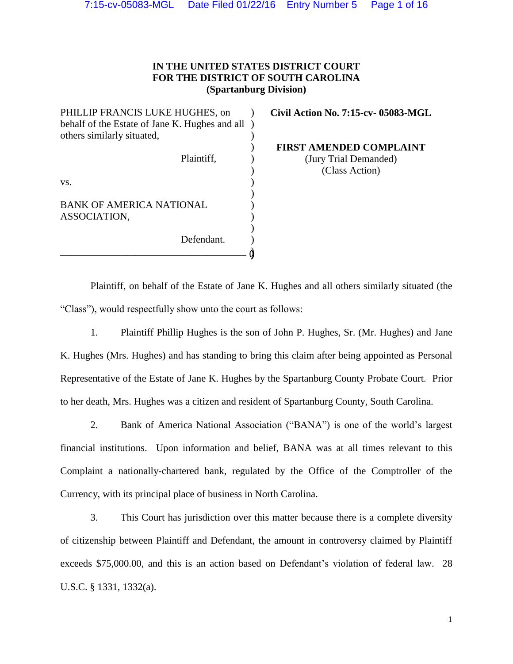# **IN THE UNITED STATES DISTRICT COURT FOR THE DISTRICT OF SOUTH CAROLINA (Spartanburg Division)**

PHILLIP FRANCIS LUKE HUGHES, on behalf of the Estate of Jane K. Hughes and all ) others similarly situated, Plaintiff, vs. BANK OF AMERICA NATIONAL ASSOCIATION, Defendant. \_\_\_\_\_\_\_\_\_\_\_\_\_\_\_\_\_\_\_\_\_\_\_\_\_\_\_\_\_\_\_\_\_\_\_\_\_  $\lambda$ ) ) ) ) ) ) ) ) ) )

**Civil Action No. 7:15-cv- 05083-MGL**

**FIRST AMENDED COMPLAINT** (Jury Trial Demanded) (Class Action)

Plaintiff, on behalf of the Estate of Jane K. Hughes and all others similarly situated (the "Class"), would respectfully show unto the court as follows:

 $\mathfrak d$ 

1. Plaintiff Phillip Hughes is the son of John P. Hughes, Sr. (Mr. Hughes) and Jane K. Hughes (Mrs. Hughes) and has standing to bring this claim after being appointed as Personal Representative of the Estate of Jane K. Hughes by the Spartanburg County Probate Court. Prior to her death, Mrs. Hughes was a citizen and resident of Spartanburg County, South Carolina.

2. Bank of America National Association ("BANA") is one of the world's largest financial institutions. Upon information and belief, BANA was at all times relevant to this Complaint a nationally-chartered bank, regulated by the Office of the Comptroller of the Currency, with its principal place of business in North Carolina.

3. This Court has jurisdiction over this matter because there is a complete diversity of citizenship between Plaintiff and Defendant, the amount in controversy claimed by Plaintiff exceeds \$75,000.00, and this is an action based on Defendant's violation of federal law. 28 U.S.C. § 1331, 1332(a).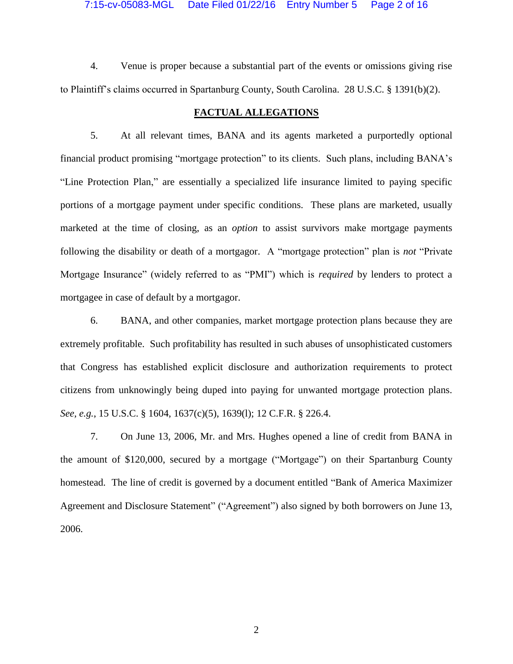4. Venue is proper because a substantial part of the events or omissions giving rise to Plaintiff's claims occurred in Spartanburg County, South Carolina. 28 U.S.C. § 1391(b)(2).

# **FACTUAL ALLEGATIONS**

5. At all relevant times, BANA and its agents marketed a purportedly optional financial product promising "mortgage protection" to its clients. Such plans, including BANA's "Line Protection Plan," are essentially a specialized life insurance limited to paying specific portions of a mortgage payment under specific conditions. These plans are marketed, usually marketed at the time of closing, as an *option* to assist survivors make mortgage payments following the disability or death of a mortgagor. A "mortgage protection" plan is *not* "Private Mortgage Insurance" (widely referred to as "PMI") which is *required* by lenders to protect a mortgagee in case of default by a mortgagor.

6. BANA, and other companies, market mortgage protection plans because they are extremely profitable. Such profitability has resulted in such abuses of unsophisticated customers that Congress has established explicit disclosure and authorization requirements to protect citizens from unknowingly being duped into paying for unwanted mortgage protection plans. *See, e.g.*, 15 U.S.C. § 1604, 1637(c)(5), 1639(l); 12 C.F.R. § 226.4.

7. On June 13, 2006, Mr. and Mrs. Hughes opened a line of credit from BANA in the amount of \$120,000, secured by a mortgage ("Mortgage") on their Spartanburg County homestead. The line of credit is governed by a document entitled "Bank of America Maximizer Agreement and Disclosure Statement" ("Agreement") also signed by both borrowers on June 13, 2006.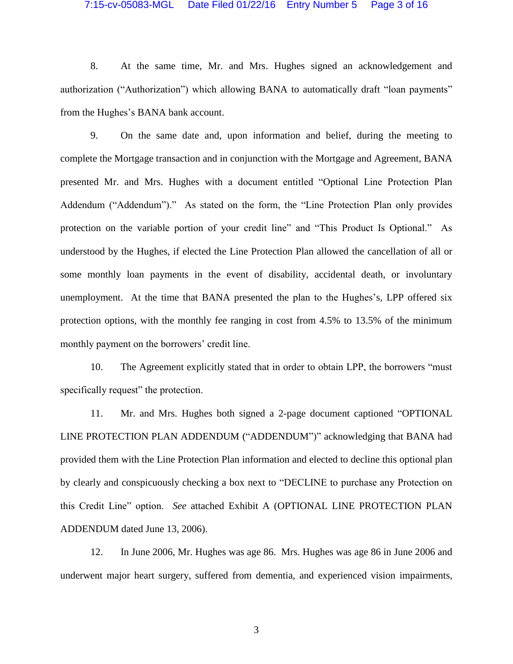### 7:15-cv-05083-MGL Date Filed 01/22/16 Entry Number 5 Page 3 of 16

8. At the same time, Mr. and Mrs. Hughes signed an acknowledgement and authorization ("Authorization") which allowing BANA to automatically draft "loan payments" from the Hughes's BANA bank account.

9. On the same date and, upon information and belief, during the meeting to complete the Mortgage transaction and in conjunction with the Mortgage and Agreement, BANA presented Mr. and Mrs. Hughes with a document entitled "Optional Line Protection Plan Addendum ("Addendum")." As stated on the form, the "Line Protection Plan only provides protection on the variable portion of your credit line" and "This Product Is Optional." As understood by the Hughes, if elected the Line Protection Plan allowed the cancellation of all or some monthly loan payments in the event of disability, accidental death, or involuntary unemployment. At the time that BANA presented the plan to the Hughes's, LPP offered six protection options, with the monthly fee ranging in cost from 4.5% to 13.5% of the minimum monthly payment on the borrowers' credit line.

10. The Agreement explicitly stated that in order to obtain LPP, the borrowers "must specifically request" the protection.

11. Mr. and Mrs. Hughes both signed a 2-page document captioned "OPTIONAL LINE PROTECTION PLAN ADDENDUM ("ADDENDUM")" acknowledging that BANA had provided them with the Line Protection Plan information and elected to decline this optional plan by clearly and conspicuously checking a box next to "DECLINE to purchase any Protection on this Credit Line" option. *See* attached Exhibit A (OPTIONAL LINE PROTECTION PLAN ADDENDUM dated June 13, 2006).

12. In June 2006, Mr. Hughes was age 86. Mrs. Hughes was age 86 in June 2006 and underwent major heart surgery, suffered from dementia, and experienced vision impairments,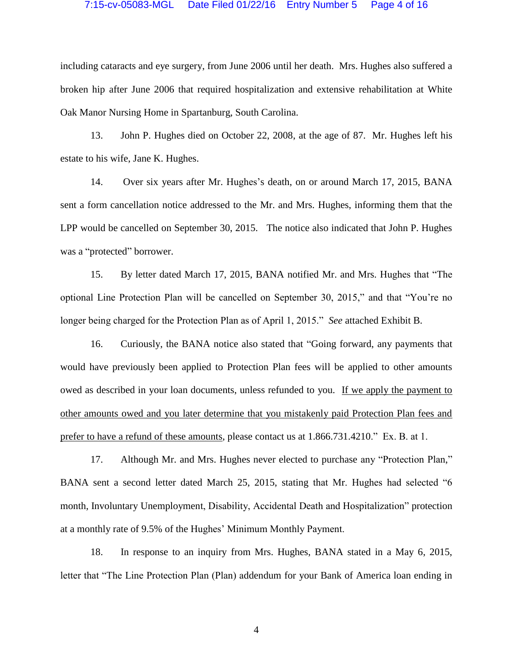### 7:15-cv-05083-MGL Date Filed 01/22/16 Entry Number 5 Page 4 of 16

including cataracts and eye surgery, from June 2006 until her death. Mrs. Hughes also suffered a broken hip after June 2006 that required hospitalization and extensive rehabilitation at White Oak Manor Nursing Home in Spartanburg, South Carolina.

13. John P. Hughes died on October 22, 2008, at the age of 87. Mr. Hughes left his estate to his wife, Jane K. Hughes.

14. Over six years after Mr. Hughes's death, on or around March 17, 2015, BANA sent a form cancellation notice addressed to the Mr. and Mrs. Hughes, informing them that the LPP would be cancelled on September 30, 2015. The notice also indicated that John P. Hughes was a "protected" borrower.

15. By letter dated March 17, 2015, BANA notified Mr. and Mrs. Hughes that "The optional Line Protection Plan will be cancelled on September 30, 2015," and that "You're no longer being charged for the Protection Plan as of April 1, 2015." *See* attached Exhibit B.

16. Curiously, the BANA notice also stated that "Going forward, any payments that would have previously been applied to Protection Plan fees will be applied to other amounts owed as described in your loan documents, unless refunded to you. If we apply the payment to other amounts owed and you later determine that you mistakenly paid Protection Plan fees and prefer to have a refund of these amounts, please contact us at 1.866.731.4210." Ex. B. at 1.

17. Although Mr. and Mrs. Hughes never elected to purchase any "Protection Plan," BANA sent a second letter dated March 25, 2015, stating that Mr. Hughes had selected "6 month, Involuntary Unemployment, Disability, Accidental Death and Hospitalization" protection at a monthly rate of 9.5% of the Hughes' Minimum Monthly Payment.

18. In response to an inquiry from Mrs. Hughes, BANA stated in a May 6, 2015, letter that "The Line Protection Plan (Plan) addendum for your Bank of America loan ending in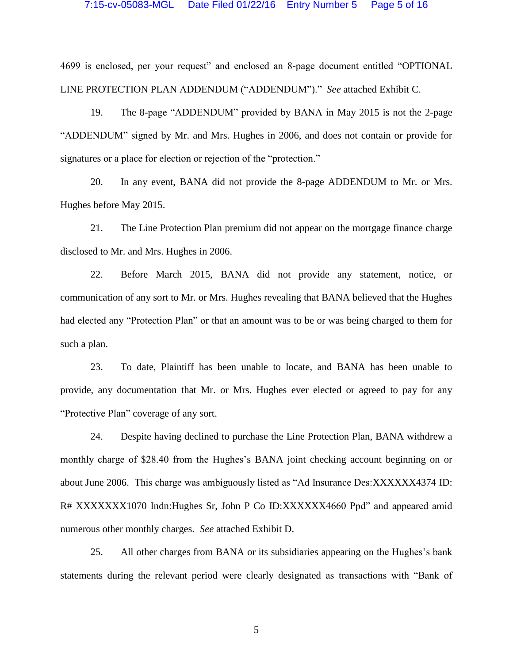### 7:15-cv-05083-MGL Date Filed 01/22/16 Entry Number 5 Page 5 of 16

4699 is enclosed, per your request" and enclosed an 8-page document entitled "OPTIONAL LINE PROTECTION PLAN ADDENDUM ("ADDENDUM")." *See* attached Exhibit C.

19. The 8-page "ADDENDUM" provided by BANA in May 2015 is not the 2-page "ADDENDUM" signed by Mr. and Mrs. Hughes in 2006, and does not contain or provide for signatures or a place for election or rejection of the "protection."

20. In any event, BANA did not provide the 8-page ADDENDUM to Mr. or Mrs. Hughes before May 2015.

21. The Line Protection Plan premium did not appear on the mortgage finance charge disclosed to Mr. and Mrs. Hughes in 2006.

22. Before March 2015, BANA did not provide any statement, notice, or communication of any sort to Mr. or Mrs. Hughes revealing that BANA believed that the Hughes had elected any "Protection Plan" or that an amount was to be or was being charged to them for such a plan.

23. To date, Plaintiff has been unable to locate, and BANA has been unable to provide, any documentation that Mr. or Mrs. Hughes ever elected or agreed to pay for any "Protective Plan" coverage of any sort.

24. Despite having declined to purchase the Line Protection Plan, BANA withdrew a monthly charge of \$28.40 from the Hughes's BANA joint checking account beginning on or about June 2006. This charge was ambiguously listed as "Ad Insurance Des:XXXXXX4374 ID: R# XXXXXXX1070 Indn:Hughes Sr, John P Co ID:XXXXXX4660 Ppd" and appeared amid numerous other monthly charges. *See* attached Exhibit D.

25. All other charges from BANA or its subsidiaries appearing on the Hughes's bank statements during the relevant period were clearly designated as transactions with "Bank of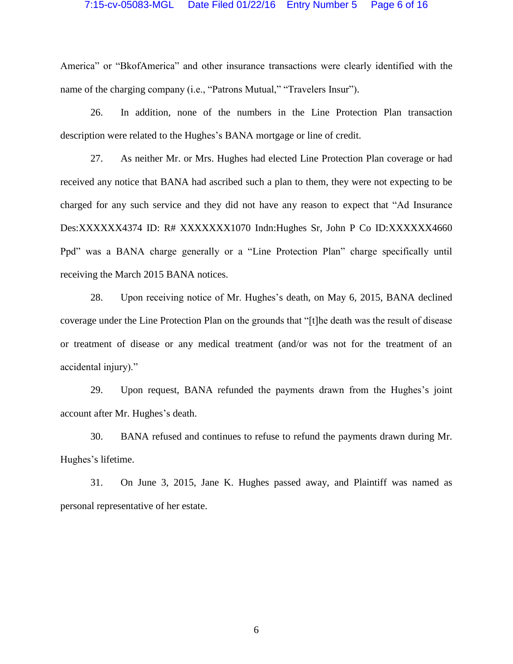### 7:15-cv-05083-MGL Date Filed 01/22/16 Entry Number 5 Page 6 of 16

America" or "BkofAmerica" and other insurance transactions were clearly identified with the name of the charging company (i.e., "Patrons Mutual," "Travelers Insur").

26. In addition, none of the numbers in the Line Protection Plan transaction description were related to the Hughes's BANA mortgage or line of credit.

27. As neither Mr. or Mrs. Hughes had elected Line Protection Plan coverage or had received any notice that BANA had ascribed such a plan to them, they were not expecting to be charged for any such service and they did not have any reason to expect that "Ad Insurance Des:XXXXXX4374 ID: R# XXXXXXX1070 Indn:Hughes Sr, John P Co ID:XXXXXX4660 Ppd" was a BANA charge generally or a "Line Protection Plan" charge specifically until receiving the March 2015 BANA notices.

28. Upon receiving notice of Mr. Hughes's death, on May 6, 2015, BANA declined coverage under the Line Protection Plan on the grounds that "[t]he death was the result of disease or treatment of disease or any medical treatment (and/or was not for the treatment of an accidental injury)."

29. Upon request, BANA refunded the payments drawn from the Hughes's joint account after Mr. Hughes's death.

30. BANA refused and continues to refuse to refund the payments drawn during Mr. Hughes's lifetime.

31. On June 3, 2015, Jane K. Hughes passed away, and Plaintiff was named as personal representative of her estate.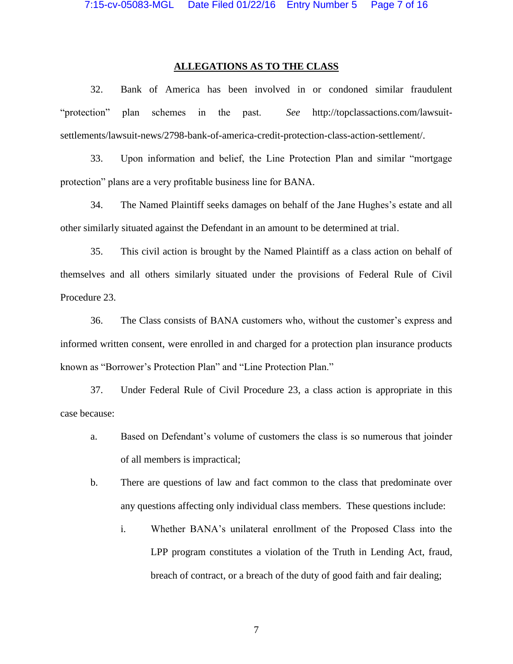### **ALLEGATIONS AS TO THE CLASS**

32. Bank of America has been involved in or condoned similar fraudulent "protection" plan schemes in the past. *See* http://topclassactions.com/lawsuitsettlements/lawsuit-news/2798-bank-of-america-credit-protection-class-action-settlement/.

33. Upon information and belief, the Line Protection Plan and similar "mortgage protection" plans are a very profitable business line for BANA.

34. The Named Plaintiff seeks damages on behalf of the Jane Hughes's estate and all other similarly situated against the Defendant in an amount to be determined at trial.

35. This civil action is brought by the Named Plaintiff as a class action on behalf of themselves and all others similarly situated under the provisions of Federal Rule of Civil Procedure 23.

36. The Class consists of BANA customers who, without the customer's express and informed written consent, were enrolled in and charged for a protection plan insurance products known as "Borrower's Protection Plan" and "Line Protection Plan."

37. Under Federal Rule of Civil Procedure 23, a class action is appropriate in this case because:

- a. Based on Defendant's volume of customers the class is so numerous that joinder of all members is impractical;
- b. There are questions of law and fact common to the class that predominate over any questions affecting only individual class members. These questions include:
	- i. Whether BANA's unilateral enrollment of the Proposed Class into the LPP program constitutes a violation of the Truth in Lending Act, fraud, breach of contract, or a breach of the duty of good faith and fair dealing;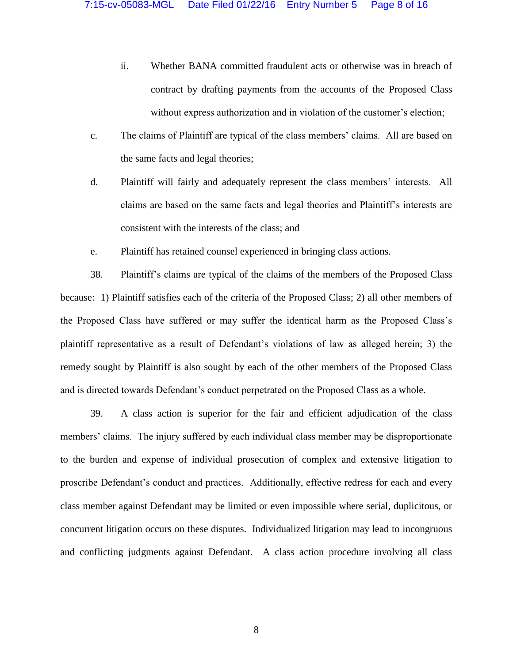- ii. Whether BANA committed fraudulent acts or otherwise was in breach of contract by drafting payments from the accounts of the Proposed Class without express authorization and in violation of the customer's election;
- c. The claims of Plaintiff are typical of the class members' claims. All are based on the same facts and legal theories;
- d. Plaintiff will fairly and adequately represent the class members' interests. All claims are based on the same facts and legal theories and Plaintiff's interests are consistent with the interests of the class; and
- e. Plaintiff has retained counsel experienced in bringing class actions.

38. Plaintiff's claims are typical of the claims of the members of the Proposed Class because: 1) Plaintiff satisfies each of the criteria of the Proposed Class; 2) all other members of the Proposed Class have suffered or may suffer the identical harm as the Proposed Class's plaintiff representative as a result of Defendant's violations of law as alleged herein; 3) the remedy sought by Plaintiff is also sought by each of the other members of the Proposed Class and is directed towards Defendant's conduct perpetrated on the Proposed Class as a whole.

39. A class action is superior for the fair and efficient adjudication of the class members' claims. The injury suffered by each individual class member may be disproportionate to the burden and expense of individual prosecution of complex and extensive litigation to proscribe Defendant's conduct and practices. Additionally, effective redress for each and every class member against Defendant may be limited or even impossible where serial, duplicitous, or concurrent litigation occurs on these disputes. Individualized litigation may lead to incongruous and conflicting judgments against Defendant. A class action procedure involving all class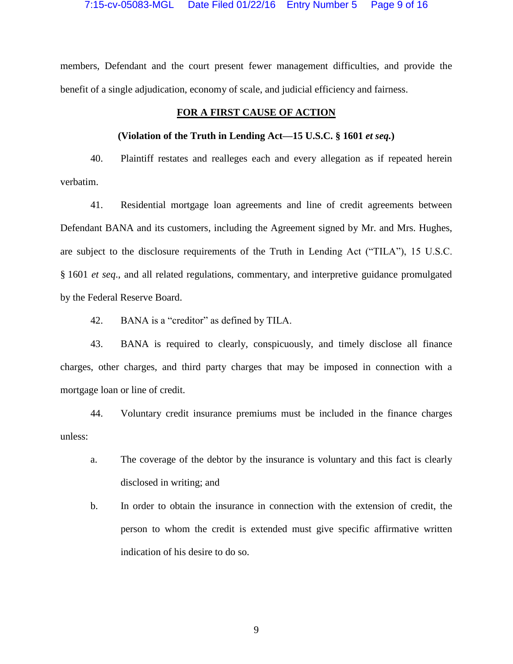members, Defendant and the court present fewer management difficulties, and provide the benefit of a single adjudication, economy of scale, and judicial efficiency and fairness.

# **FOR A FIRST CAUSE OF ACTION**

## **(Violation of the Truth in Lending Act—15 U.S.C. § 1601** *et seq.***)**

40. Plaintiff restates and realleges each and every allegation as if repeated herein verbatim.

41. Residential mortgage loan agreements and line of credit agreements between Defendant BANA and its customers, including the Agreement signed by Mr. and Mrs. Hughes, are subject to the disclosure requirements of the Truth in Lending Act ("TILA"), 15 U.S.C. § 1601 *et seq*., and all related regulations, commentary, and interpretive guidance promulgated by the Federal Reserve Board.

42. BANA is a "creditor" as defined by TILA.

43. BANA is required to clearly, conspicuously, and timely disclose all finance charges, other charges, and third party charges that may be imposed in connection with a mortgage loan or line of credit.

44. Voluntary credit insurance premiums must be included in the finance charges unless:

- a. The coverage of the debtor by the insurance is voluntary and this fact is clearly disclosed in writing; and
- b. In order to obtain the insurance in connection with the extension of credit, the person to whom the credit is extended must give specific affirmative written indication of his desire to do so.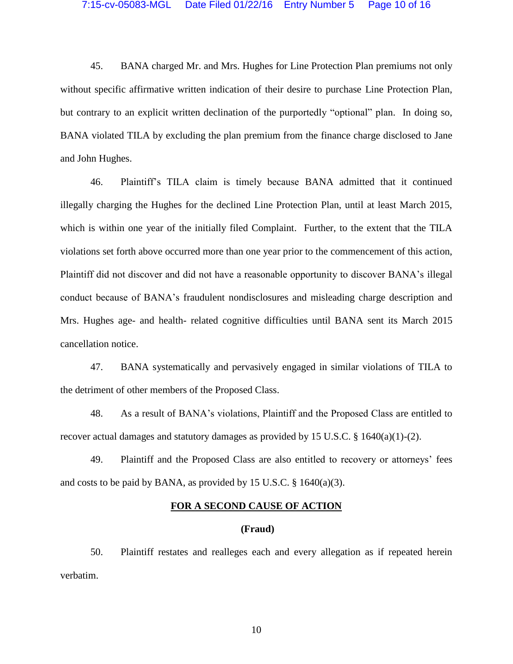45. BANA charged Mr. and Mrs. Hughes for Line Protection Plan premiums not only without specific affirmative written indication of their desire to purchase Line Protection Plan, but contrary to an explicit written declination of the purportedly "optional" plan. In doing so, BANA violated TILA by excluding the plan premium from the finance charge disclosed to Jane and John Hughes.

46. Plaintiff's TILA claim is timely because BANA admitted that it continued illegally charging the Hughes for the declined Line Protection Plan, until at least March 2015, which is within one year of the initially filed Complaint. Further, to the extent that the TILA violations set forth above occurred more than one year prior to the commencement of this action, Plaintiff did not discover and did not have a reasonable opportunity to discover BANA's illegal conduct because of BANA's fraudulent nondisclosures and misleading charge description and Mrs. Hughes age- and health- related cognitive difficulties until BANA sent its March 2015 cancellation notice.

47. BANA systematically and pervasively engaged in similar violations of TILA to the detriment of other members of the Proposed Class.

48. As a result of BANA's violations, Plaintiff and the Proposed Class are entitled to recover actual damages and statutory damages as provided by 15 U.S.C.  $\S$  1640(a)(1)-(2).

49. Plaintiff and the Proposed Class are also entitled to recovery or attorneys' fees and costs to be paid by BANA, as provided by 15 U.S.C.  $\S$  1640(a)(3).

## **FOR A SECOND CAUSE OF ACTION**

### **(Fraud)**

50. Plaintiff restates and realleges each and every allegation as if repeated herein verbatim.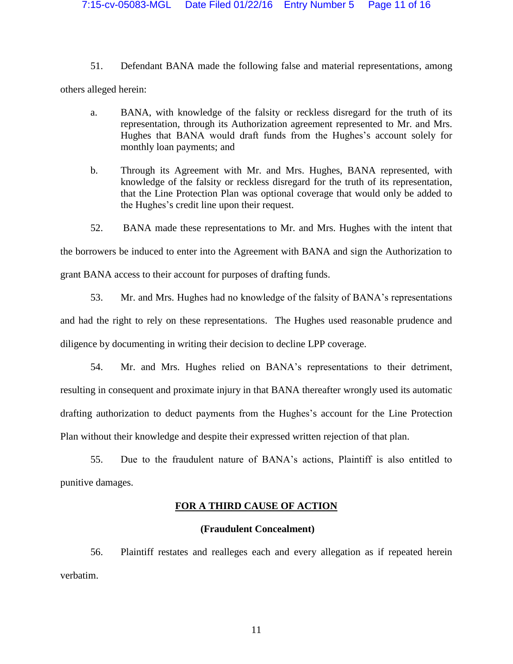51. Defendant BANA made the following false and material representations, among others alleged herein:

- a. BANA, with knowledge of the falsity or reckless disregard for the truth of its representation, through its Authorization agreement represented to Mr. and Mrs. Hughes that BANA would draft funds from the Hughes's account solely for monthly loan payments; and
- b. Through its Agreement with Mr. and Mrs. Hughes, BANA represented, with knowledge of the falsity or reckless disregard for the truth of its representation, that the Line Protection Plan was optional coverage that would only be added to the Hughes's credit line upon their request.
- 52. BANA made these representations to Mr. and Mrs. Hughes with the intent that

the borrowers be induced to enter into the Agreement with BANA and sign the Authorization to

grant BANA access to their account for purposes of drafting funds.

53. Mr. and Mrs. Hughes had no knowledge of the falsity of BANA's representations

and had the right to rely on these representations. The Hughes used reasonable prudence and diligence by documenting in writing their decision to decline LPP coverage.

54. Mr. and Mrs. Hughes relied on BANA's representations to their detriment, resulting in consequent and proximate injury in that BANA thereafter wrongly used its automatic drafting authorization to deduct payments from the Hughes's account for the Line Protection Plan without their knowledge and despite their expressed written rejection of that plan.

55. Due to the fraudulent nature of BANA's actions, Plaintiff is also entitled to punitive damages.

# **FOR A THIRD CAUSE OF ACTION**

# **(Fraudulent Concealment)**

56. Plaintiff restates and realleges each and every allegation as if repeated herein verbatim.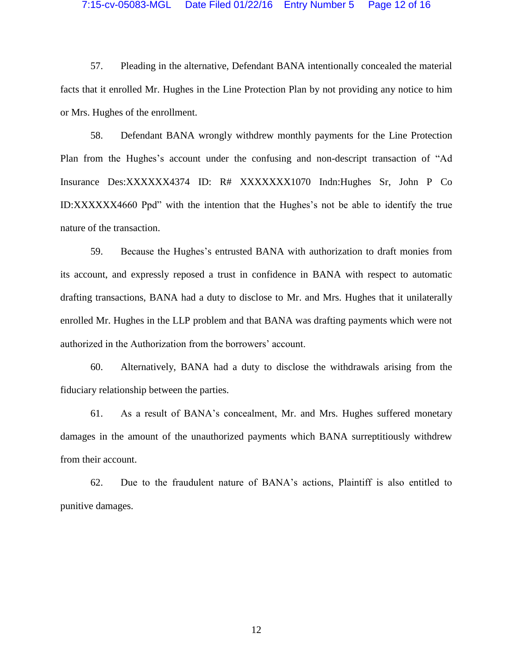#### 7:15-cv-05083-MGL Date Filed 01/22/16 Entry Number 5 Page 12 of 16

57. Pleading in the alternative, Defendant BANA intentionally concealed the material facts that it enrolled Mr. Hughes in the Line Protection Plan by not providing any notice to him or Mrs. Hughes of the enrollment.

58. Defendant BANA wrongly withdrew monthly payments for the Line Protection Plan from the Hughes's account under the confusing and non-descript transaction of "Ad Insurance Des:XXXXXX4374 ID: R# XXXXXXX1070 Indn:Hughes Sr, John P Co ID:XXXXXX4660 Ppd" with the intention that the Hughes's not be able to identify the true nature of the transaction.

59. Because the Hughes's entrusted BANA with authorization to draft monies from its account, and expressly reposed a trust in confidence in BANA with respect to automatic drafting transactions, BANA had a duty to disclose to Mr. and Mrs. Hughes that it unilaterally enrolled Mr. Hughes in the LLP problem and that BANA was drafting payments which were not authorized in the Authorization from the borrowers' account.

60. Alternatively, BANA had a duty to disclose the withdrawals arising from the fiduciary relationship between the parties.

61. As a result of BANA's concealment, Mr. and Mrs. Hughes suffered monetary damages in the amount of the unauthorized payments which BANA surreptitiously withdrew from their account.

62. Due to the fraudulent nature of BANA's actions, Plaintiff is also entitled to punitive damages.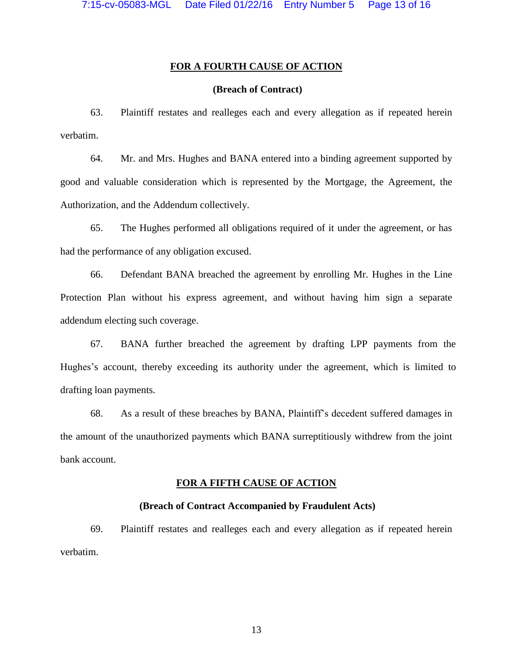## **FOR A FOURTH CAUSE OF ACTION**

# **(Breach of Contract)**

63. Plaintiff restates and realleges each and every allegation as if repeated herein verbatim.

64. Mr. and Mrs. Hughes and BANA entered into a binding agreement supported by good and valuable consideration which is represented by the Mortgage, the Agreement, the Authorization, and the Addendum collectively.

65. The Hughes performed all obligations required of it under the agreement, or has had the performance of any obligation excused.

66. Defendant BANA breached the agreement by enrolling Mr. Hughes in the Line Protection Plan without his express agreement, and without having him sign a separate addendum electing such coverage.

67. BANA further breached the agreement by drafting LPP payments from the Hughes's account, thereby exceeding its authority under the agreement, which is limited to drafting loan payments.

68. As a result of these breaches by BANA, Plaintiff's decedent suffered damages in the amount of the unauthorized payments which BANA surreptitiously withdrew from the joint bank account.

#### **FOR A FIFTH CAUSE OF ACTION**

### **(Breach of Contract Accompanied by Fraudulent Acts)**

69. Plaintiff restates and realleges each and every allegation as if repeated herein verbatim.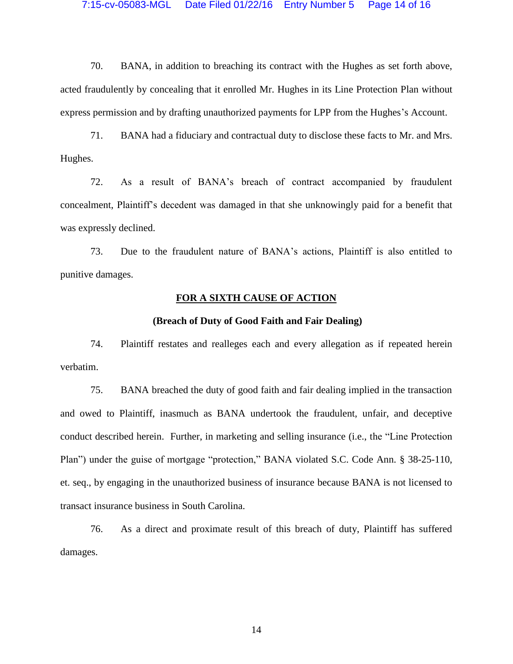#### 7:15-cv-05083-MGL Date Filed 01/22/16 Entry Number 5 Page 14 of 16

70. BANA, in addition to breaching its contract with the Hughes as set forth above, acted fraudulently by concealing that it enrolled Mr. Hughes in its Line Protection Plan without express permission and by drafting unauthorized payments for LPP from the Hughes's Account.

71. BANA had a fiduciary and contractual duty to disclose these facts to Mr. and Mrs. Hughes.

72. As a result of BANA's breach of contract accompanied by fraudulent concealment, Plaintiff's decedent was damaged in that she unknowingly paid for a benefit that was expressly declined.

73. Due to the fraudulent nature of BANA's actions, Plaintiff is also entitled to punitive damages.

## **FOR A SIXTH CAUSE OF ACTION**

### **(Breach of Duty of Good Faith and Fair Dealing)**

74. Plaintiff restates and realleges each and every allegation as if repeated herein verbatim.

75. BANA breached the duty of good faith and fair dealing implied in the transaction and owed to Plaintiff, inasmuch as BANA undertook the fraudulent, unfair, and deceptive conduct described herein. Further, in marketing and selling insurance (i.e., the "Line Protection Plan") under the guise of mortgage "protection," BANA violated S.C. Code Ann. § 38-25-110, et. seq., by engaging in the unauthorized business of insurance because BANA is not licensed to transact insurance business in South Carolina.

76. As a direct and proximate result of this breach of duty, Plaintiff has suffered damages.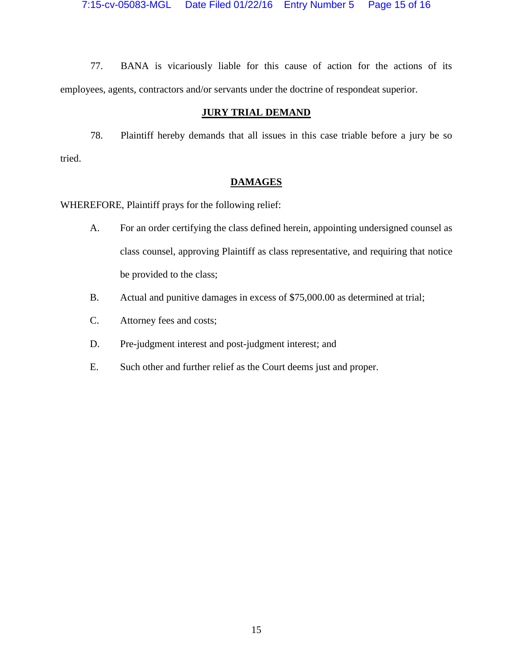77. BANA is vicariously liable for this cause of action for the actions of its employees, agents, contractors and/or servants under the doctrine of respondeat superior.

## **JURY TRIAL DEMAND**

78. Plaintiff hereby demands that all issues in this case triable before a jury be so tried.

# **DAMAGES**

WHEREFORE, Plaintiff prays for the following relief:

- A. For an order certifying the class defined herein, appointing undersigned counsel as class counsel, approving Plaintiff as class representative, and requiring that notice be provided to the class;
- B. Actual and punitive damages in excess of \$75,000.00 as determined at trial;
- C. Attorney fees and costs;
- D. Pre-judgment interest and post-judgment interest; and
- E. Such other and further relief as the Court deems just and proper.